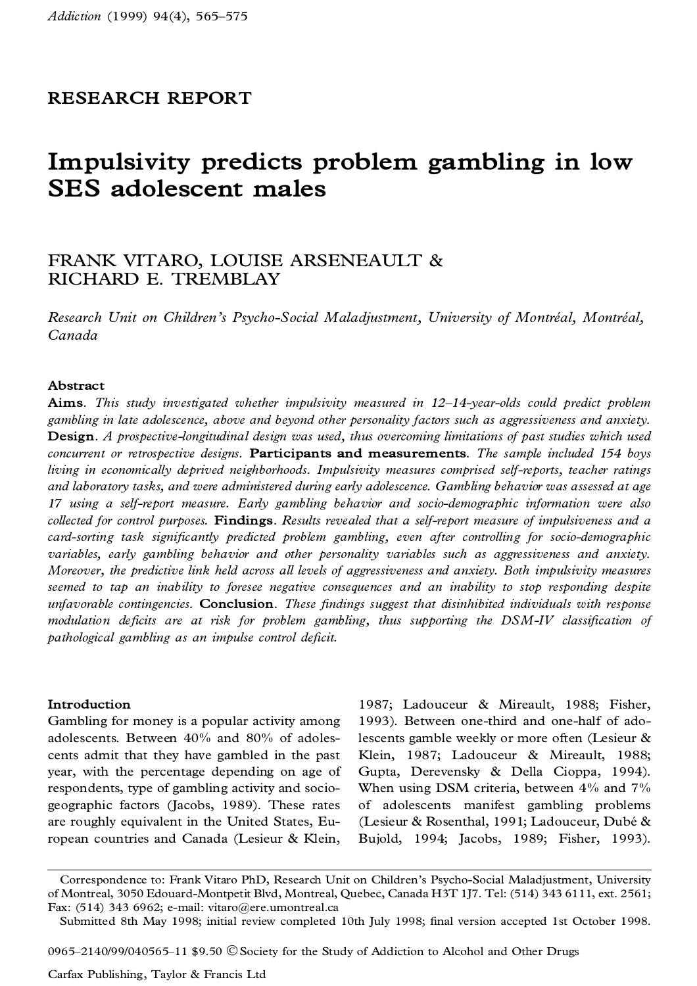# **RESEARCH REPORT**

# **Impulsivity predicts problem gambling in low SES adolescent males**

# FRANK VITARO, LOUISE ARSENEAULT & RICHARD E. TREMBLAY

*Research Unit on Children's Psycho-Social Maladjustment, University of MontreÂ al, MontreÂ al, Canada*

#### **Abstract**

**Aims.** *This study investigated whether impulsivity measured in 12±14-year-olds could predict problem gambling in late adolescence, above and beyond other personality factors such as aggressiveness and anxiety.* **Design.** *A prospective-longitudinal design was used, thus overcoming limitations of past studies which used concurrent or retrospective designs.* **Participants and measurements.** *The sample included 154 boys living in economically deprived neighborhoods. Impulsivity measures comprised self-reports, teacher ratings and laboratory tasks, and were administered during early adolescence. Gambling behavior was assessed at age 17 using a self-report measure. Early gambling behavior and socio-demographic information were also collected for control purposes.* **Findings.** *Results revealed that a self-report measure of impulsiveness and a card-sorting task signi®cantly predicted problem gambling, even after controlling for socio-demographic variables, early gambling behavior and other personality variables such as aggressiveness and anxiety. Moreover, the predictive link held across all levels of aggressiveness and anxiety. Both impulsivity measures seemed to tap an inability to foresee negative consequences and an inability to stop responding despite unfavorable contingencies.* **Conclusion.** *These ®ndings suggest that disinhibited individuals with response modulation deficits are at risk for problem gambling*, *thus supporting the DSM-IV classification of*  $p$ athological gambling as an *impulse* control deficit.

### **Introduction**

Gambling for money is a popular activity among adolescents. Between 40% and 80% of adoles cents admit that they have gambled in the past year, with the percentage depending on age of respondents, type of gambling activity and socio geographic factors (Jacobs, 1989). These rates are roughly equivalent in the United States, European countries and Canada (Lesieur & Klein,

1987; Ladouceur & Mireault, 1988; Fisher, 1993). Between one-third and one-half of adolescents gamble weekly or more often (Lesieur & Klein, 1987; Ladouceur & Mireault, 1988; Gupta, Derevensky & Della Cioppa, 1994). When using DSM criteria, between 4% and 7% of adolescents manifest gambling problems (Lesieur & Rosenthal, 1991; Ladouceur, Dubé & Bujold, 1994; Jacobs, 1989; Fisher, 1993).

0965 $-2140/99/040565-11$  \$9.50  $\odot$  Society for the Study of Addiction to Alcohol and Other Drugs

Correspondence to: Frank Vitaro PhD, Research Unit on Children's Psycho-Social Maladjustment, University of Montreal, 3050 Edouard-Montpetit Blvd, Montreal, Quebec, Canada H3T 1J7. Tel: (514) 343 6111, ext. 2561; Fax: (514) 343 6962; e-mail: vitaro@ere.umontreal.ca

Submitted 8th May 1998; initial review completed 10th July 1998; final version accepted 1st October 1998.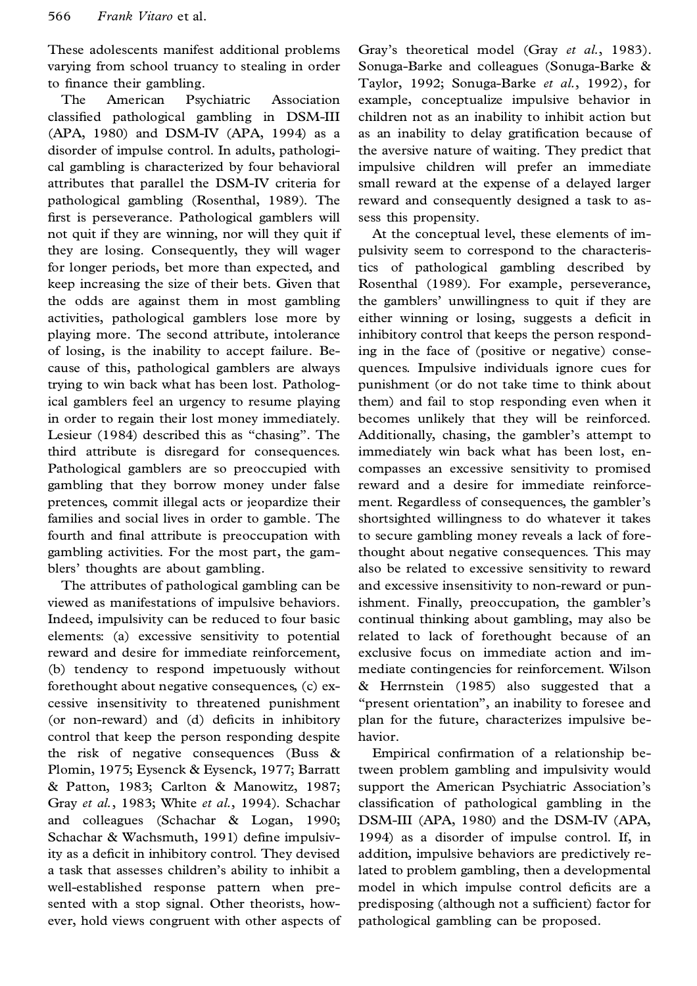These adolescents manifest additional problems varying from school truancy to stealing in order to finance their gambling.

The American Psychiatric Association classified pathological gambling in DSM-III (APA, 1980) and DSM-IV (APA, 1994) as a disorder of impulse control. In adults, pathologi cal gambling is characterized by four behavioral attributes that parallel the DSM-IV criteria for pathological gambling (Rosenthal, 1989). The first is perseverance. Pathological gamblers will not quit if they are winning, nor will they quit if they are losing. Consequently, they will wager for longer periods, bet more than expected, and keep increasing the size of their bets. Given that the odds are against them in most gambling activities, pathological gamblers lose more by playing more. The second attribute, intolerance of losing, is the inability to accept failure. Be cause of this, pathological gamblers are always trying to win back what has been lost. Pathological gamblers feel an urgency to resume playing in order to regain their lost money immediately. Lesieur (1984) described this as "chasing". The third attribute is disregard for consequences. Pathological gamblers are so preoccupied with gambling that they borrow money under false pretences, commit illegal acts or jeopardize their families and social lives in order to gamble. The fourth and final attribute is preoccupation with gambling activities. For the most part, the gam blers' thoughts are about gambling.

The attributes of pathological gambling can be viewed as manifestations of impulsive behaviors. Indeed, impulsivity can be reduced to four basic elements: (a) excessive sensitivity to potential reward and desire for immediate reinforcement, (b) tendency to respond impetuously without forethought about negative consequences, (c) ex cessive insensitivity to threatened punishment (or non-reward) and (d) deficits in inhibitory control that keep the person responding despite the risk of negative consequences (Buss & Plomin, 1975; Eysenck & Eysenck, 1977; Barratt & Patton, 1983; Carlton & Manowitz, 1987; Gray *et al.*, 1983; White *et al.*, 1994). Schachar and colleagues (Schachar & Logan, 1990; Schachar & Wachsmuth, 1991) define impulsivity as a deficit in inhibitory control. They devised a task that assesses children's ability to inhibit a well-established response pattern when pre sented with a stop signal. Other theorists, how ever, hold views congruent with other aspects of Gray's theoretical model (Gray *et al.*, 1983). Sonuga-Barke and colleagues (Sonuga-Barke & Taylor, 1992; Sonuga-Barke *et al.*, 1992), for example, conceptualize impulsive behavior in children not as an inability to inhibit action but as an inability to delay gratification because of the aversive nature of waiting. They predict that impulsive children will prefer an immediate small reward at the expense of a delayed larger reward and consequently designed a task to assess this propensity.

At the conceptual level, these elements of im pulsivity seem to correspond to the characteristics of pathological gambling described by Rosenthal (1989). For example, perseverance, the gamblers' unwillingness to quit if they are either winning or losing, suggests a deficit in inhibitory control that keeps the person responding in the face of (positive or negative) conse quences. Impulsive individuals ignore cues for punishment (or do not take time to think about them) and fail to stop responding even when it becomes unlikely that they will be reinforced. Additionally, chasing, the gambler's attempt to immediately win back what has been lost, en compasses an excessive sensitivity to promised reward and a desire for immediate reinforce ment. Regardless of consequences, the gambler's shortsighted willingness to do whatever it takes to secure gambling money reveals a lack of forethought about negative consequences. This may also be related to excessive sensitivity to reward and excessive insensitivity to non-reward or punishment. Finally, preoccupation, the gambler's continual thinking about gambling, may also be related to lack of forethought because of an exclusive focus on immediate action and im mediate contingencies for reinforcement. Wilson & Herrnstein (1985) also suggested that a "present orientation", an inability to foresee and plan for the future, characterizes impulsive be havior.

Empirical confirmation of a relationship between problem gambling and impulsivity would support the American Psychiatric Association's classification of pathological gambling in the DSM-III (APA, 1980) and the DSM-IV (APA, 1994) as a disorder of impulse control. If, in addition, impulsive behaviors are predictively related to problem gambling, then a developmental model in which impulse control deficits are a predisposing (although not a sufficient) factor for pathological gambling can be proposed.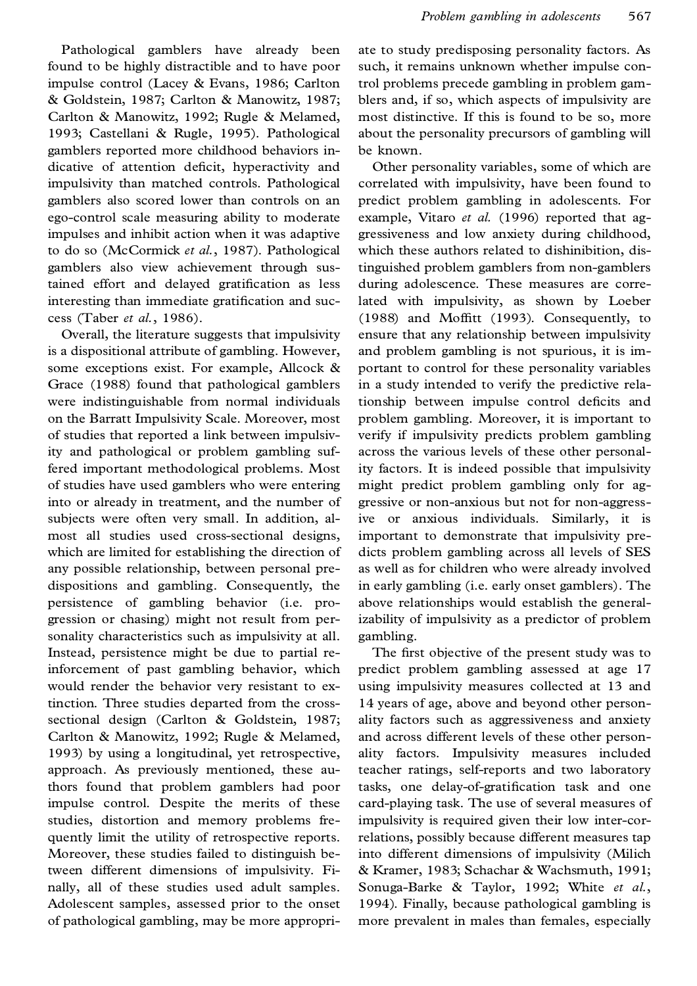Pathological gamblers have already been found to be highly distractible and to have poor impulse control (Lacey & Evans, 1986; Carlton & Goldstein, 1987; Carlton & Manowitz, 1987; Carlton & Manowitz, 1992; Rugle & Melamed, 1993; Castellani & Rugle, 1995). Pathological gamblers reported more childhood behaviors in dicative of attention deficit, hyperactivity and impulsivity than matched controls. Pathological gamblers also scored lower than controls on an ego-control scale measuring ability to moderate impulses and inhibit action when it was adaptive to do so (McCormick *et al.*, 1987). Pathological gamblers also view achievement through sustained effort and delayed gratification as less interesting than immediate gratification and success (Taber *et al.*, 1986).

Overall, the literature suggests that impulsivity is a dispositional attribute of gambling. However, some exceptions exist. For example, Allcock & Grace (1988) found that pathological gamblers were indistinguishable from normal individuals on the Barratt Impulsivity Scale. Moreover, most of studies that reported a link between impulsivity and pathological or problem gambling suffered important methodological problems. Most of studies have used gamblers who were entering into or already in treatment, and the number of subjects were often very small. In addition, al most all studies used cross-sectional designs, which are limited for establishing the direction of any possible relationship, between personal pre dispositions and gambling. Consequently, the persistence of gambling behavior (i.e. pro gression or chasing) might not result from personality characteristics such as impulsivity at all. Instead, persistence might be due to partial reinforcement of past gambling behavior, which would render the behavior very resistant to extinction. Three studies departed from the cross sectional design (Carlton & Goldstein, 1987; Carlton & Manowitz, 1992; Rugle & Melamed, 1993) by using a longitudinal, yet retrospective, approach. As previously mentioned, these authors found that problem gamblers had poor impulse control. Despite the merits of these studies, distortion and memory problems fre quently limit the utility of retrospective reports. Moreover, these studies failed to distinguish between different dimensions of impulsivity. Fi nally, all of these studies used adult samples. Adolescent samples, assessed prior to the onset of pathological gambling, may be more appropriate to study predisposing personality factors. As such, it remains unknown whether impulse control problems precede gambling in problem gam blers and, if so, which aspects of impulsivity are most distinctive. If this is found to be so, more about the personality precursors of gambling will be known.

Other personality variables, some of which are correlated with impulsivity, have been found to predict problem gambling in adolescents. For example, Vitaro *et al.* (1996) reported that ag gressiveness and low anxiety during childhood, which these authors related to dishinibition, distinguished problem gamblers from non-gamblers during adolescence. These measures are correlated with impulsivity, as shown by Loeber  $(1988)$  and Moffitt  $(1993)$ . Consequently, to ensure that any relationship between impulsivity and problem gambling is not spurious, it is im portant to control for these personality variables in a study intended to verify the predictive relationship between impulse control deficits and problem gambling. Moreover, it is important to verify if impulsivity predicts problem gambling across the various levels of these other personality factors. It is indeed possible that impulsivity might predict problem gambling only for ag gressive or non-anxious but not for non-aggressive or anxious individuals. Similarly, it is important to demonstrate that impulsivity pre dicts problem gambling across all levels of SES as well as for children who were already involved in early gambling (i.e. early onset gamblers). The above relationships would establish the generalizability of impulsivity as a predictor of problem gambling.

The first objective of the present study was to predict problem gambling assessed at age 17 using impulsivity measures collected at 13 and 14 years of age, above and beyond other person ality factors such as aggressiveness and anxiety and across different levels of these other person ality factors. Impulsivity measures included teacher ratings, self-reports and two laboratory tasks, one delay-of-gratification task and one card-playing task. The use of several measures of impulsivity is required given their low inter-correlations, possibly because different measures tap into different dimensions of impulsivity (Milich & Kramer, 1983; Schachar & Wachsmuth, 1991; Sonuga-Barke & Taylor, 1992; White *et al.*, 1994). Finally, because pathological gambling is more prevalent in males than females, especially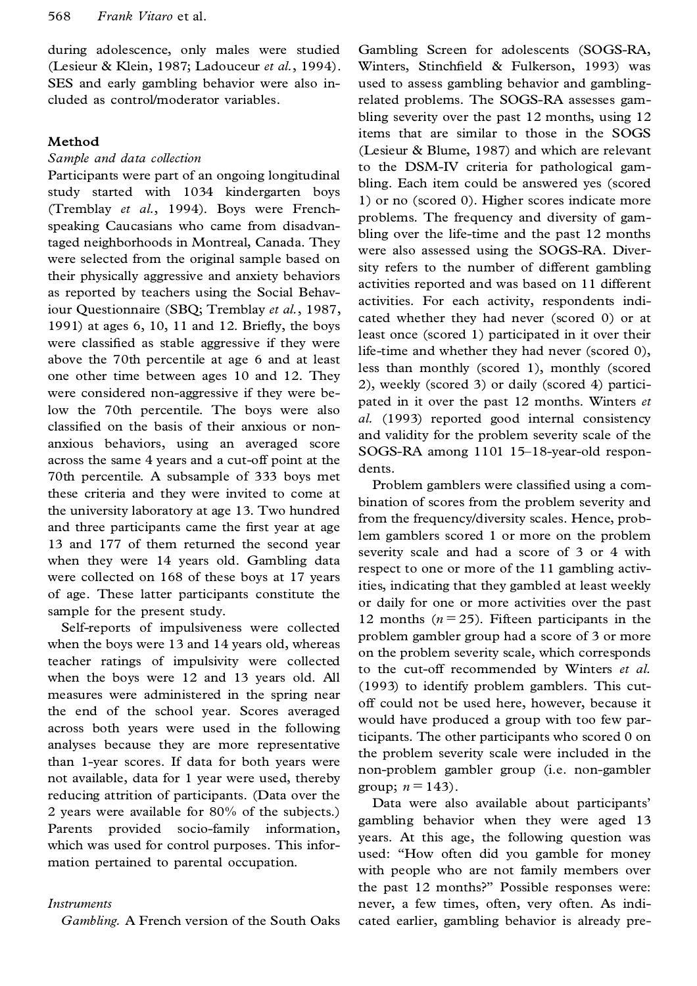during adolescence, only males were studied (Lesieur & Klein, 1987; Ladouceur *et al.*, 1994). SES and early gambling behavior were also in cluded as control/moderator variables.

## **Method**

#### *Sample and data collection*

Participants were part of an ongoing longitudinal study started with 1034 kindergarten boys (Tremblay *et al.*, 1994). Boys were Frenchspeaking Caucasians who came from disadvantaged neighborhoods in Montreal, Canada. They were selected from the original sample based on their physically aggressive and anxiety behaviors as reported by teachers using the Social Behaviour Questionnaire (SBQ; Tremblay *et al.*, 1987, 1991) at ages  $6$ ,  $10$ ,  $11$  and  $12$ . Briefly, the boys were classified as stable aggressive if they were above the 70th percentile at age 6 and at least one other time between ages 10 and 12. They were considered non-aggressive if they were below the 70th percentile. The boys were also classified on the basis of their anxious or nonanxious behaviors, using an averaged score across the same 4 years and a cut-off point at the 70th percentile. A subsample of 333 boys met these criteria and they were invited to come at the university laboratory at age 13. Two hundred and three participants came the first year at age 13 and 177 of them returned the second year when they were 14 years old. Gambling data were collected on 168 of these boys at 17 years of age. These latter participants constitute the sample for the present study.

Self-reports of impulsiveness were collected when the boys were 13 and 14 years old, whereas teacher ratings of impulsivity were collected when the boys were 12 and 13 years old. All measures were administered in the spring near the end of the school year. Scores averaged across both years were used in the following analyses because they are more representative than 1-year scores. If data for both years were not available, data for 1 year were used, thereby reducing attrition of participants. (Data over the 2 years were available for 80% of the subjects.) Parents provided socio-family information, which was used for control purposes. This infor mation pertained to parental occupation.

### *Instruments*

*Gambling.* A French version of the South Oaks

Gambling Screen for adolescents (SOGS-RA, Winters, Stinchfield & Fulkerson, 1993) was used to assess gambling behavior and gamblingrelated problems. The SOGS-RA assesses gam bling severity over the past 12 months, using 12 items that are similar to those in the SOGS (Lesieur & Blume, 1987) and which are relevant to the DSM-IV criteria for pathological gam bling. Each item could be answered yes (scored 1) or no (scored 0). Higher scores indicate more problems. The frequency and diversity of gam bling over the life-time and the past 12 months were also assessed using the SOGS-RA. Diversity refers to the number of different gambling activities reported and was based on 11 different activities. For each activity, respondents indi cated whether they had never (scored 0) or at least once (scored 1) participated in it over their life-time and whether they had never (scored 0), less than monthly (scored 1), monthly (scored 2), weekly (scored 3) or daily (scored 4) partici pated in it over the past 12 months. Winters *et al.* (1993) reported good internal consistency and validity for the problem severity scale of the SOGS-RA among 1101 15-18-year-old respondents.

Problem gamblers were classified using a combination of scores from the problem severity and from the frequency/diversity scales. Hence, problem gamblers scored 1 or more on the problem severity scale and had a score of 3 or 4 with respect to one or more of the 11 gambling activities, indicating that they gambled at least weekly or daily for one or more activities over the past 12 months  $(n=25)$ . Fifteen participants in the problem gambler group had a score of 3 or more on the problem severity scale, which corresponds to the cut-off recommended by Winters *et al.* (1993) to identify problem gamblers. This cut off could not be used here, however, because it would have produced a group with too few participants. The other participants who scored 0 on the problem severity scale were included in the non-problem gambler group (i.e. non-gambler group;  $n = 143$ ).

Data were also available about participants' gambling behavior when they were aged 13 years. At this age, the following question was used: "How often did you gamble for money with people who are not family members over the past 12 months?" Possible responses were: never, a few times, often, very often. As indi cated earlier, gambling behavior is already pre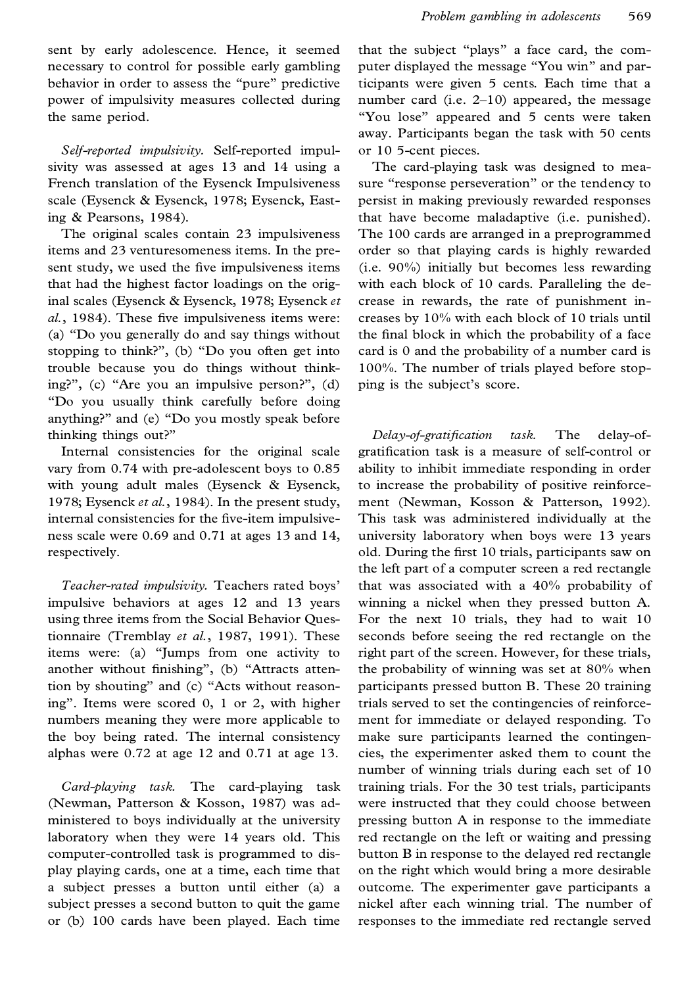sent by early adolescence. Hence, it seemed necessary to control for possible early gambling behavior in order to assess the "pure" predictive power of impulsivity measures collected during the same period.

*Self-reported impulsivity.* Self-reported impulsivity was assessed at ages 13 and 14 using a French translation of the Eysenck Impulsiveness scale (Eysenck & Eysenck, 1978; Eysenck, Easting & Pearsons, 1984).

The original scales contain 23 impulsiveness items and 23 venturesomeness items. In the present study, we used the five impulsiveness items that had the highest factor loadings on the original scales (Eysenck & Eysenck, 1978; Eysenck *et al.*, 1984). These five impulsiveness items were: (a) ª Do you generally do and say things without stopping to think?", (b) "Do you often get into trouble because you do things without thinking?", (c) "Are you an impulsive person?", (d) ª Do you usually think carefully before doing anything?" and (e) "Do you mostly speak before thinking things out?"

Internal consistencies for the original scale vary from 0.74 with pre-adolescent boys to 0.85 with young adult males (Eysenck & Eysenck, 1978; Eysenck *et al.*, 1984). In the present study, internal consistencies for the five-item impulsiveness scale were 0.69 and 0.71 at ages 13 and 14, respectively.

*Teacher-rated impulsivity.* Teachers rated boys' impulsive behaviors at ages 12 and 13 years using three items from the Social Behavior Questionnaire (Tremblay *et al.*, 1987, 1991). These items were: (a) "Jumps from one activity to another without finishing", (b) "Attracts attention by shouting" and (c) "Acts without reasoningº. Items were scored 0, 1 or 2, with higher numbers meaning they were more applicable to the boy being rated. The internal consistency alphas were 0.72 at age 12 and 0.71 at age 13.

*Card-playing task.* The card-playing task (Newman, Patterson & Kosson, 1987) was ad ministered to boys individually at the university laboratory when they were 14 years old. This computer-controlled task is programmed to dis play playing cards, one at a time, each time that a subject presses a button until either (a) a subject presses a second button to quit the game or (b) 100 cards have been played. Each time that the subject "plays" a face card, the computer displayed the message "You win" and participants were given 5 cents. Each time that a number card (i.e. 2-10) appeared, the message "You lose" appeared and 5 cents were taken away. Participants began the task with 50 cents or 10 5-cent pieces.

The card-playing task was designed to mea sure "response perseveration" or the tendency to persist in making previously rewarded responses that have become maladaptive (i.e. punished). The 100 cards are arranged in a preprogrammed order so that playing cards is highly rewarded (i.e. 90%) initially but becomes less rewarding with each block of 10 cards. Paralleling the de crease in rewards, the rate of punishment in creases by 10% with each block of 10 trials until the final block in which the probability of a face card is 0 and the probability of a number card is 100%. The number of trials played before stop ping is the subject's score.

*Delay-of-gratification task.* The delay-ofgratification task is a measure of self-control or ability to inhibit immediate responding in order to increase the probability of positive reinforce ment (Newman, Kosson & Patterson, 1992). This task was administered individually at the university laboratory when boys were 13 years old. During the first 10 trials, participants saw on the left part of a computer screen a red rectangle that was associated with a 40% probability of winning a nickel when they pressed button A. For the next 10 trials, they had to wait 10 seconds before seeing the red rectangle on the right part of the screen. However, for these trials, the probability of winning was set at 80% when participants pressed button B. These 20 training trials served to set the contingencies of reinforce ment for immediate or delayed responding. To make sure participants learned the contingen cies, the experimenter asked them to count the number of winning trials during each set of 10 training trials. For the 30 test trials, participants were instructed that they could choose between pressing button A in response to the immediate red rectangle on the left or waiting and pressing button B in response to the delayed red rectangle on the right which would bring a more desirable outcome. The experimenter gave participants a nickel after each winning trial. The number of responses to the immediate red rectangle served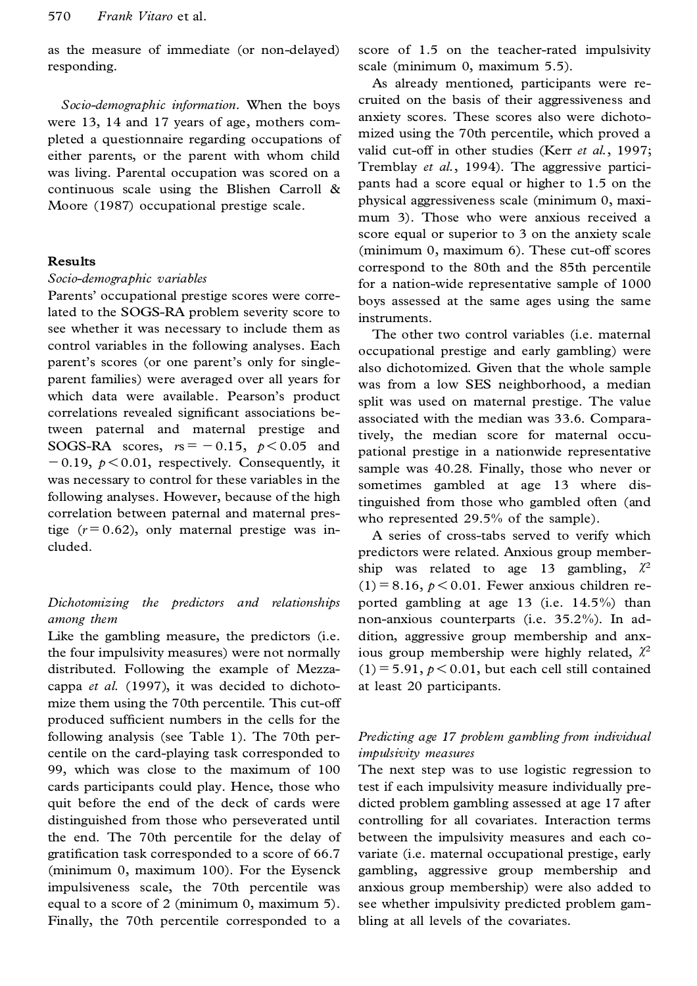as the measure of immediate (or non-delayed) responding.

*Socio-demographic information.* When the boys were 13, 14 and 17 years of age, mothers com pleted a questionnaire regarding occupations of either parents, or the parent with whom child was living. Parental occupation was scored on a continuous scale using the Blishen Carroll & Moore (1987) occupational prestige scale.

#### **Results**

#### *Socio-demographic variables*

Parents' occupational prestige scores were correlated to the SOGS-RA problem severity score to see whether it was necessary to include them as control variables in the following analyses. Each parent's scores (or one parent's only for single parent families) were averaged over all years for which data were available. Pearson's product correlations revealed significant associations between paternal and maternal prestige and SOGS-RA scores,  $rs = -0.15$ ,  $p < 0.05$  and  $-0.19$ ,  $p < 0.01$ , respectively. Consequently, it was necessary to control for these variables in the following analyses. However, because of the high correlation between paternal and maternal prestige  $(r=0.62)$ , only maternal prestige was included.

# *Dichotomizing the predictors and relationships among them*

Like the gambling measure, the predictors (i.e. the four impulsivity measures) were not normally distributed. Following the example of Mezza cappa *et al.* (1997), it was decided to dichoto mize them using the 70th percentile. This cut-off produced sufficient numbers in the cells for the following analysis (see Table 1). The 70th per centile on the card-playing task corresponded to 99, which was close to the maximum of 100 cards participants could play. Hence, those who quit before the end of the deck of cards were distinguished from those who perseverated until the end. The 70th percentile for the delay of gratification task corresponded to a score of 66.7 (minimum 0, maximum 100). For the Eysenck impulsiveness scale, the 70th percentile was equal to a score of 2 (minimum 0, maximum 5). Finally, the 70th percentile corresponded to a

score of 1.5 on the teacher-rated impulsivity scale (minimum 0, maximum 5.5).

As already mentioned, participants were re cruited on the basis of their aggressiveness and anxiety scores. These scores also were dichoto mized using the 70th percentile, which proved a valid cut-off in other studies (Kerr *et al.*, 1997; Tremblay *et al.*, 1994). The aggressive partici pants had a score equal or higher to 1.5 on the physical aggressiveness scale (minimum 0, maxi mum 3).Those who were anxious received a score equal or superior to 3 on the anxiety scale (minimum 0, maximum 6). These cut-off scores correspond to the 80th and the 85th percentile for a nation-wide representative sample of 1000 boys assessed at the same ages using the same instruments.

The other two control variables (i.e. maternal occupational prestige and early gambling) were also dichotomized. Given that the whole sample was from a low SES neighborhood, a median split was used on maternal prestige. The value associated with the median was 33.6. Comparatively, the median score for maternal occu pational prestige in a nationwide representative sample was 40.28. Finally, those who never or sometimes gambled at age 13 where distinguished from those who gambled often (and who represented 29.5% of the sample).

A series of cross-tabs served to verify which predictors were related. Anxious group member ship was related to age 13 gambling,  $\chi^2$  $(1)$ = 8.16,  $p$ < 0.01. Fewer anxious children reported gambling at age 13 (i.e. 14.5%) than non-anxious counterparts (i.e. 35.2%). In ad dition, aggressive group membership and anxious group membership were highly related,  $\mathcal{X}^2$  $(1)$ = 5.91,  $p$  < 0.01, but each cell still contained at least 20 participants.

# *Predicting age 17 problem gambling from individual impulsivity measures*

The next step was to use logistic regression to test if each impulsivity measure individually pre dicted problem gambling assessed at age 17 after controlling for all covariates. Interaction terms between the impulsivity measures and each co variate (i.e. maternal occupational prestige, early gambling, aggressive group membership and anxious group membership) were also added to see whether impulsivity predicted problem gam bling at all levels of the covariates.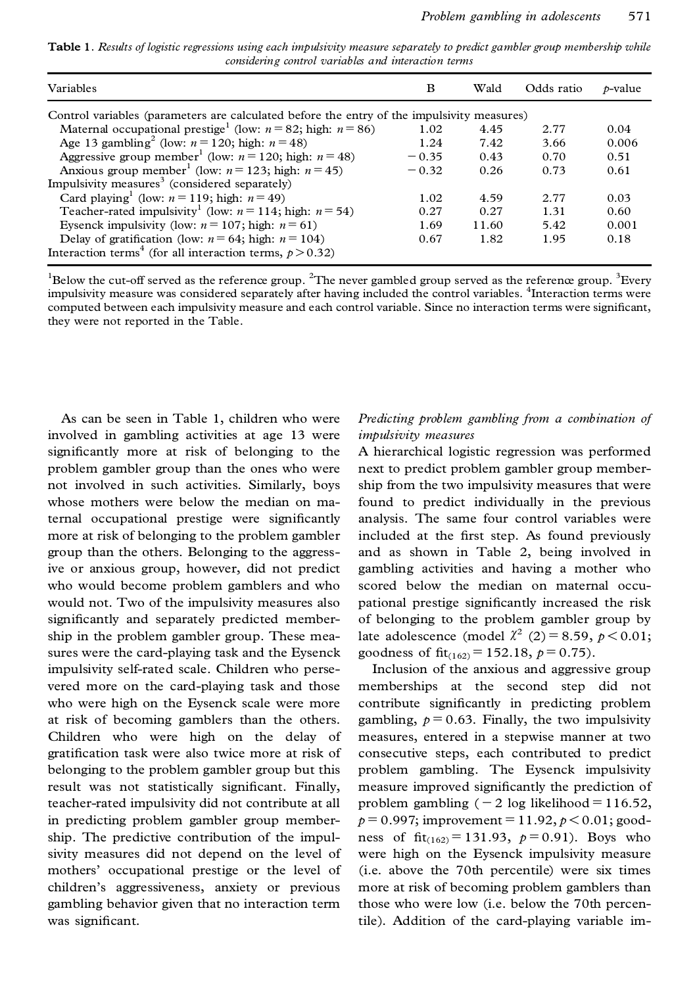Table 1. Results of logistic regressions using each impulsivity measure separately to predict gambler group membership while *considering control variables and interaction terms*

| Variables                                                                                  | B       | Wald  | Odds ratio | $\n  b-value\n$ |  |  |  |  |  |
|--------------------------------------------------------------------------------------------|---------|-------|------------|-----------------|--|--|--|--|--|
| Control variables (parameters are calculated before the entry of the impulsivity measures) |         |       |            |                 |  |  |  |  |  |
| Maternal occupational prestige <sup>1</sup> (low: $n = 82$ ; high: $n = 86$ )              | 1.02    | 4.45  | 2.77       | 0.04            |  |  |  |  |  |
| Age 13 gambling <sup>2</sup> (low: $n = 120$ ; high: $n = 48$ )                            | 1.24    | 7.42  | 3.66       | 0.006           |  |  |  |  |  |
| Aggressive group member <sup>1</sup> (low: $n = 120$ ; high: $n = 48$ )                    | $-0.35$ | 0.43  | 0.70       | 0.51            |  |  |  |  |  |
| Anxious group member <sup>1</sup> (low: $n = 123$ ; high: $n = 45$ )                       | $-0.32$ | 0.26  | 0.73       | 0.61            |  |  |  |  |  |
| Impulsivity measures <sup>3</sup> (considered separately)                                  |         |       |            |                 |  |  |  |  |  |
| Card playing (low: $n = 119$ ; high: $n = 49$ )                                            | 1.02    | 4.59  | 2.77       | 0.03            |  |  |  |  |  |
| Teacher-rated impulsivity <sup>1</sup> (low: $n = 114$ ; high: $n = 54$ )                  | 0.27    | 0.27  | 1.31       | 0.60            |  |  |  |  |  |
| Eysenck impulsivity (low: $n = 107$ ; high: $n = 61$ )                                     | 1.69    | 11.60 | 5.42       | 0.001           |  |  |  |  |  |
| Delay of gratification (low: $n = 64$ ; high: $n = 104$ )                                  | 0.67    | 1.82  | 1.95       | 0.18            |  |  |  |  |  |
| Interaction terms <sup>4</sup> (for all interaction terms, $p > 0.32$ )                    |         |       |            |                 |  |  |  |  |  |

 $1B$ elow the cut-off served as the reference group. <sup>2</sup>The never gambled group served as the reference group. <sup>3</sup>Every impulsivity measure was considered separately after having included the control variables. <sup>4</sup>Interaction terms were computed between each impulsivity measure and each control variable. Since no interaction terms were significant, they were not reported in the Table.

As can be seen in Table 1, children who were involved in gambling activities at age 13 were significantly more at risk of belonging to the problem gambler group than the ones who were not involved in such activities. Similarly, boys whose mothers were below the median on maternal occupational prestige were significantly more at risk of belonging to the problem gambler group than the others. Belonging to the aggressive or anxious group, however, did not predict who would become problem gamblers and who would not. Two of the impulsivity measures also significantly and separately predicted membership in the problem gambler group. These measures were the card-playing task and the Eysenck impulsivity self-rated scale. Children who perse vered more on the card-playing task and those who were high on the Eysenck scale were more at risk of becoming gamblers than the others. Children who were high on the delay of gratification task were also twice more at risk of belonging to the problem gambler group but this result was not statistically significant. Finally, teacher-rated impulsivity did not contribute at all in predicting problem gambler group membership. The predictive contribution of the impul sivity measures did not depend on the level of mothers' occupational prestige or the level of children's aggressiveness, anxiety or previous gambling behavior given that no interaction term was significant.

# *Predicting problem gambling from a combination of impulsivity measures*

A hierarchical logistic regression was performed next to predict problem gambler group membership from the two impulsivity measures that were found to predict individually in the previous analysis. The same four control variables were included at the first step. As found previously and as shown in Table 2, being involved in gambling activities and having a mother who scored below the median on maternal occu pational prestige significantly increased the risk of belonging to the problem gambler group by late adolescence (model  $\chi^2$  (2) = 8.59,  $p < 0.01$ ; goodness of fit<sub>(162)</sub> = 152.18,  $p=0.75$ ).

Inclusion of the anxious and aggressive group memberships at the second step did not contribute significantly in predicting problem gambling,  $p = 0.63$ . Finally, the two impulsivity measures, entered in a stepwise manner at two consecutive steps, each contributed to predict problem gambling. The Eysenck impulsivity measure improved significantly the prediction of problem gambling  $(-2 \log$  likelihood = 116.52,  $p = 0.997$ ; improvement = 11.92,  $p < 0.01$ ; goodness of  $fit_{(162)} = 131.93$ ,  $p = 0.91$ ). Boys who were high on the Eysenck impulsivity measure (i.e. above the 70th percentile) were six times more at risk of becoming problem gamblers than those who were low (i.e. below the 70th percentile). Addition of the card-playing variable im-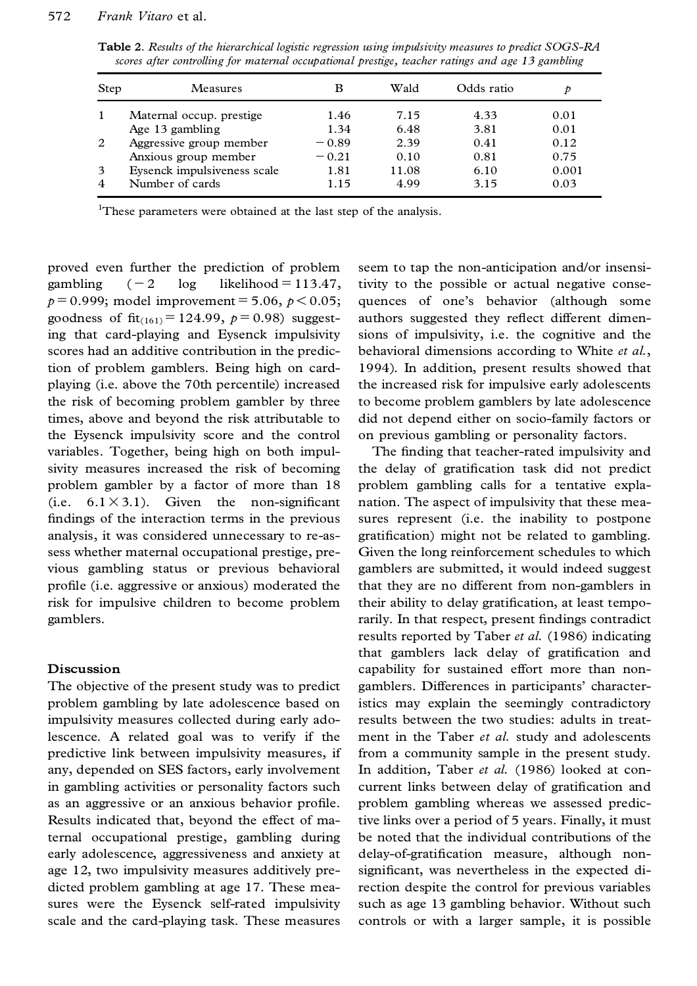**Table 2.** *Results of the hierarchical logistic regression using impulsivity measures to predict SOGS-RA scores after controlling for maternal occupational prestige, teacher ratings and age 13 gambling*

| Step           | Measures                    |         | Wald  | Odds ratio | D     |
|----------------|-----------------------------|---------|-------|------------|-------|
| -1             | Maternal occup, prestige    | 1.46    | 7.15  | 4.33       | 0.01  |
|                | Age 13 gambling             | 1.34    | 6.48  | 3.81       | 0.01  |
| 2              | Aggressive group member     | $-0.89$ | 2.39  | 0.41       | 0.12  |
|                | Anxious group member        | $-0.21$ | 0.10  | 0.81       | 0.75  |
| 3              | Eysenck impulsiveness scale | 1.81    | 11.08 | 6.10       | 0.001 |
| $\overline{4}$ | Number of cards             | 1.15    | 4.99  | 3.15       | 0.03  |

<sup>1</sup>These parameters were obtained at the last step of the analysis.

proved even further the prediction of problem gambling  $(-2 \log \text{likelihood} = 113.47,$  $p = 0.999$ ; model improvement = 5.06,  $p < 0.05$ ; goodness of  $fit_{(161)} = 124.99$ ,  $p = 0.98$ ) suggesting that card-playing and Eysenck impulsivity scores had an additive contribution in the prediction of problem gamblers. Being high on card playing (i.e. above the 70th percentile) increased the risk of becoming problem gambler by three times, above and beyond the risk attributable to the Eysenck impulsivity score and the control variables. Together, being high on both impul sivity measures increased the risk of becoming problem gambler by a factor of more than 18  $(i.e. 6.1 \times 3.1)$ . Given the non-significant findings of the interaction terms in the previous analysis, it was considered unnecessary to re-assess whether maternal occupational prestige, pre vious gambling status or previous behavioral profile (i.e. aggressive or anxious) moderated the risk for impulsive children to become problem gamblers.

#### **Discussion**

The objective of the present study was to predict problem gambling by late adolescence based on impulsivity measures collected during early adolescence. A related goal was to verify if the predictive link between impulsivity measures, if any, depended on SES factors, early involvement in gambling activities or personality factors such as an aggressive or an anxious behavior profile. Results indicated that, beyond the effect of maternal occupational prestige, gambling during early adolescence, aggressiveness and anxiety at age 12, two impulsivity measures additively pre dicted problem gambling at age 17. These mea sures were the Eysenck self-rated impulsivity scale and the card-playing task. These measures seem to tap the non-anticipation and/or insensitivity to the possible or actual negative conse quences of one's behavior (although some authors suggested they reflect different dimensions of impulsivity, i.e. the cognitive and the behavioral dimensions according to White *et al.*, 1994). In addition, present results showed that the increased risk for impulsive early adolescents to become problem gamblers by late adolescence did not depend either on socio-family factors or on previous gambling or personality factors.

The finding that teacher-rated impulsivity and the delay of gratification task did not predict problem gambling calls for a tentative expla nation. The aspect of impulsivity that these mea sures represent (i.e. the inability to postpone gratification) might not be related to gambling. Given the long reinforcement schedules to which gamblers are submitted, it would indeed suggest that they are no different from non-gamblers in their ability to delay gratification, at least temporarily. In that respect, present findings contradict results reported by Taber *et al.* (1986) indicating that gamblers lack delay of gratification and capability for sustained effort more than non gamblers. Differences in participants' characteristics may explain the seemingly contradictory results between the two studies: adults in treat ment in the Taber *et al.* study and adolescents from a community sample in the present study. In addition, Taber *et al.* (1986) looked at con current links between delay of gratification and problem gambling whereas we assessed predictive links over a period of 5 years. Finally, it must be noted that the individual contributions of the delay-of-gratification measure, although nonsignificant, was nevertheless in the expected direction despite the control for previous variables such as age 13 gambling behavior. Without such controls or with a larger sample, it is possible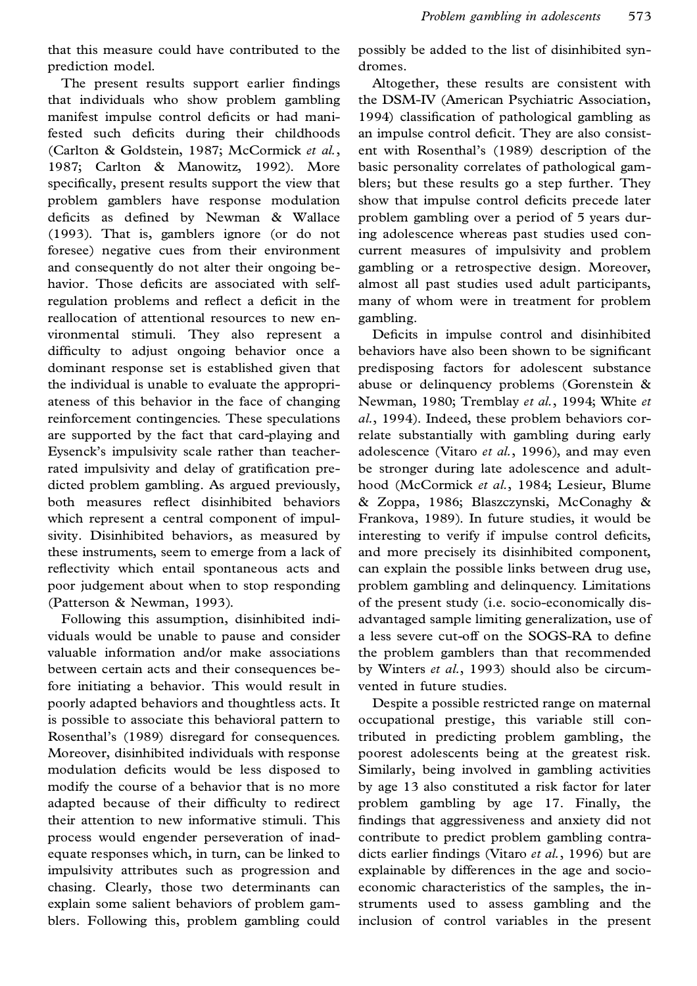that this measure could have contributed to the prediction model.

The present results support earlier findings that individuals who show problem gambling manifest impulse control deficits or had manifested such deficits during their childhoods (Carlton & Goldstein, 1987; McCormick *et al.*, 1987; Carlton & Manowitz, 1992). More specifically, present results support the view that problem gamblers have response modulation deficits as defined by Newman & Wallace (1993). That is, gamblers ignore (or do not foresee) negative cues from their environment and consequently do not alter their ongoing be havior. Those deficits are associated with selfregulation problems and reflect a deficit in the reallocation of attentional resources to new en vironmental stimuli. They also represent a difficulty to adjust ongoing behavior once a dominant response set is established given that the individual is unable to evaluate the appropri ateness of this behavior in the face of changing reinforcement contingencies. These speculations are supported by the fact that card-playing and Eysenck's impulsivity scale rather than teacherrated impulsivity and delay of gratification predicted problem gambling. As argued previously, both measures reflect disinhibited behaviors which represent a central component of impulsivity. Disinhibited behaviors, as measured by these instruments, seem to emerge from a lack of reflectivity which entail spontaneous acts and poor judgement about when to stop responding (Patterson & Newman, 1993).

Following this assumption, disinhibited indi viduals would be unable to pause and consider valuable information and/or make associations between certain acts and their consequences before initiating a behavior. This would result in poorly adapted behaviors and thoughtless acts. It is possible to associate this behavioral pattern to Rosenthal's (1989) disregard for consequences. Moreover, disinhibited individuals with response modulation deficits would be less disposed to modify the course of a behavior that is no more adapted because of their difficulty to redirect their attention to new informative stimuli. This process would engender perseveration of inad equate responses which, in turn, can be linked to impulsivity attributes such as progression and chasing. Clearly, those two determinants can explain some salient behaviors of problem gam blers. Following this, problem gambling could

possibly be added to the list of disinhibited syn dromes.

Altogether, these results are consistent with the DSM-IV (American Psychiatric Association, 1994) classification of pathological gambling as an impulse control deficit. They are also consistent with Rosenthal's (1989) description of the basic personality correlates of pathological gam blers; but these results go a step further. They show that impulse control deficits precede later problem gambling over a period of 5 years during adolescence whereas past studies used con current measures of impulsivity and problem gambling or a retrospective design. Moreover, almost all past studies used adult participants, many of whom were in treatment for problem gambling.

Deficits in impulse control and disinhibited behaviors have also been shown to be significant predisposing factors for adolescent substance abuse or delinquency problems (Gorenstein & Newman, 1980; Tremblay *et al.*, 1994; White *et al.*, 1994). Indeed, these problem behaviors correlate substantially with gambling during early adolescence (Vitaro *et al.*, 1996), and may even be stronger during late adolescence and adult hood (McCormick *et al.*, 1984; Lesieur, Blume & Zoppa, 1986; Blaszczynski, McConaghy & Frankova, 1989). In future studies, it would be interesting to verify if impulse control deficits, and more precisely its disinhibited component, can explain the possible links between drug use, problem gambling and delinquency. Limitations of the present study (i.e. socio-economically dis advantaged sample limiting generalization, use of a less severe cut-off on the SOGS-RA to define the problem gamblers than that recommended by Winters *et al.*, 1993) should also be circum vented in future studies.

Despite a possible restricted range on maternal occupational prestige, this variable still contributed in predicting problem gambling, the poorest adolescents being at the greatest risk. Similarly, being involved in gambling activities by age 13 also constituted a risk factor for later problem gambling by age 17. Finally, the findings that aggressiveness and anxiety did not contribute to predict problem gambling contra dicts earlier findings (Vitaro et al., 1996) but are explainable by differences in the age and socio economic characteristics of the samples, the in struments used to assess gambling and the inclusion of control variables in the present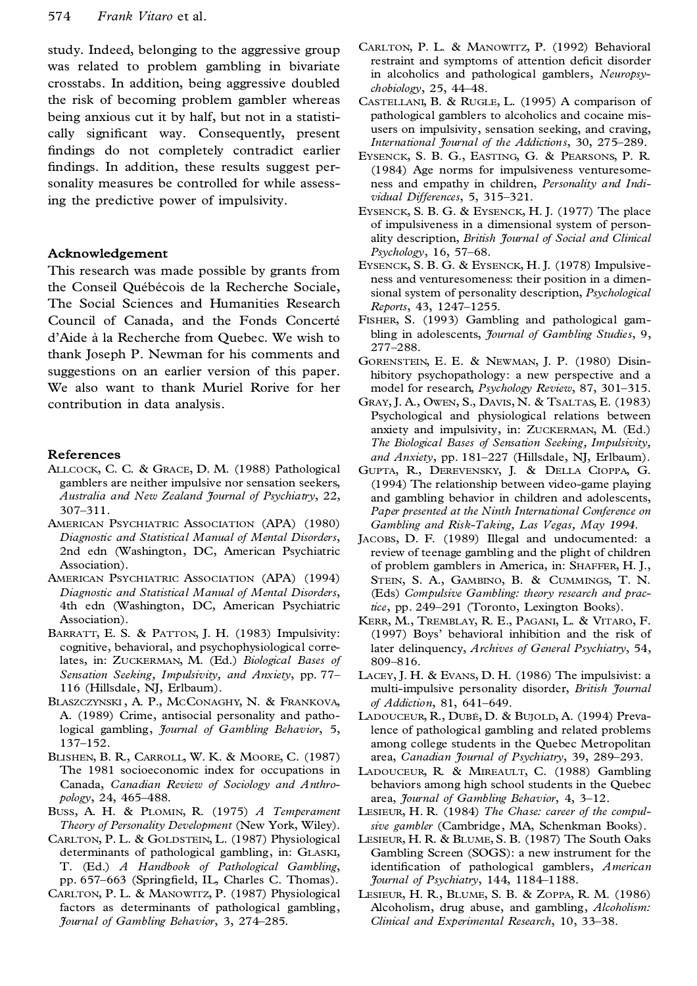study. Indeed, belonging to the aggressive group was related to problem gambling in bivariate crosstabs. In addition, being aggressive doubled the risk of becoming problem gambler whereas being anxious cut it by half, but not in a statisti cally significant way. Consequently, present findings do not completely contradict earlier findings. In addition, these results suggest personality measures be controlled for while assessing the predictive power of impulsivity.

#### **Acknowledgement**

This research was made possible by grants from the Conseil Québécois de la Recherche Sociale, The Social Sciences and Humanities Research Council of Canada, and the Fonds Concerté d'Aide à la Recherche from Quebec. We wish to thank Joseph P. Newman for his comments and suggestions on an earlier version of this paper. We also want to thank Muriel Rorive for her contribution in data analysis.

#### **References**

- ALLCOCK, C. C. & GRACE, D. M. (1988) Pathological gamblers are neither impulsive nor sensation seekers, *Australia and New Zealand Journal of Psychiatry*, 22, 307±311.
- AMERICAN PSYCHIATRIC ASSOCIATION (APA) (1980) *Diagnostic and Statistical Manual of Mental Disorders*, 2nd edn (Washington, DC, American Psychiatric Association).
- AMERICAN PSYCHIATRIC ASSOCIATION (APA) (1994) *Diagnostic and Statistical Manual of Mental Disorders*, 4th edn (Washington, DC, American Psychiatric Association).
- BARRATT, E. S. & PATTON, J. H. (1983) Impulsivity: cognitive, behavioral, and psychophysiological correlates, in: ZUCKERMAN, M. (Ed.) *Biological Bases of Sensation Seeking, Impulsivity, and Anxiety*, pp. 77± 116 (Hillsdale, NJ, Erlbaum).
- BLASZCZYNSKI , A. P., MCCONAGHY, N. & FRANKOVA, A. (1989) Crime, antisocial personality and pathological gambling, *Journal of Gambling Behavior*, 5, 137±152.
- BLISHEN, B. R., CARROLL, W. K. & MOORE, C. (1987) The 1981 socioeconomic index for occupations in Canada, *Canadian Review of Sociology and Anthro pology*, 24, 465-488.
- BUSS, A. H. & PLOMIN, R. (1975) *A Temperament Theory of Personality Development* (New York, Wiley).
- CARLTON, P. L. & GOLDSTEIN, L. (1987) Physiological determinants of pathological gambling, in: GLASKI, T. (Ed.) *A Handbook of Pathological Gambling*, pp. 657-663 (Springfield, IL, Charles C. Thomas).
- CARLTON, P. L. & MANOWITZ, P. (1987) Physiological factors as determinants of pathological gambling, *Journal of Gambling Behavior*, 3, 274±285.
- CARLTON, P. L. & MANOWITZ, P. (1992) Behavioral restraint and symptoms of attention deficit disorder in alcoholics and pathological gamblers, *Neuropsychobiology*, 25, 44-48.
- CASTELLANI, B. & RUGLE, L. (1995) A comparison of pathological gamblers to alcoholics and cocaine mis users on impulsivity, sensation seeking, and craving, *International Journal of the Addictions*, 30, 275-289.
- EYSENCK, S. B. G., EASTING, G. & PEARSONS, P. R. (1984) Age norms for impulsiveness venturesome ness and empathy in children, *Personality and Indi vidual Differences*, 5, 315-321.
- EYSENCK, S. B. G. & EYSENCK, H. J. (1977) The place of impulsiveness in a dimensional system of person ality description, *British Journal of Social and Clinical Psychology*, 16, 57-68.
- EYSENCK, S. B. G. & EYSENCK, H. J. (1978) Impulsive ness and venturesomeness: their position in a dimen sional system of personality description, *Psychological Reports*, 43, 1247-1255.
- FISHER, S. (1993) Gambling and pathological gam bling in adolescents, *Journal of Gambling Studies*, 9, 277±288.
- GORENSTEIN, E. E. & NEWMAN, J. P. (1980) Disin hibitory psychopathology: a new perspective and a model for research, Psychology Review, 87, 301-315.
- GRAY, J. A., OWEN, S., DAVIS, N. & TSALTAS, E. (1983) Psychological and physiological relations between anxiety and impulsivity, in: ZUCKERMAN, M. (Ed.) *The Biological Bases of Sensation Seeking, Impulsivity,* and Anxiety, pp. 181-227 (Hillsdale, NJ, Erlbaum).
- GUPTA, R., DEREVENSKY, J. & DELLA CIOPPA, G. (1994) The relationship between video-game playing and gambling behavior in children and adolescents, *Paper presented at the Ninth International Conference on Gambling and Risk-Taking, Las Vegas, May 1994*.
- JACOBS, D. F. (1989) Illegal and undocumented: a review of teenage gambling and the plight of children of problem gamblers in America, in: SHAFFER, H. J., STEIN, S. A., GAMBINO, B. & CUMMINGS, T. N. (Eds) *Compulsive Gambling: theory research and practice*, pp. 249–291 (Toronto, Lexington Books).
- KERR, M., TREMBLAY, R. E., PAGANI, L. & VITARO, F. (1997) Boys' behavioral inhibition and the risk of later delinquency, *Archives of General Psychiatry*, 54, 809-816.
- LACEY, J. H. & EVANS, D. H. (1986) The impulsivist: a multi-impulsive personality disorder, *British Journal of Addiction*, 81, 641-649.
- LADOUCEUR, R., DUBÉ, D. & BUJOLD, A. (1994) Prevalence of pathological gambling and related problems among college students in the Quebec Metropolitan area, *Canadian Journal of Psychiatry*, 39, 289–293.
- LADOUCEUR, R. & MIREAULT, C. (1988) Gambling behaviors among high school students in the Quebec area, *Journal of Gambling Behavior*, 4, 3–12.
- LESIEUR, H. R. (1984) *The Chase: career of the compulsive gambler* (Cambridge, MA, Schenkman Books).
- LESIEUR, H. R. & BLUME, S. B. (1987) The South Oaks Gambling Screen (SOGS): a new instrument for the identification of pathological gamblers, *American Journal of Psychiatry*, 144, 1184-1188.
- LESIEUR, H. R., BLUME, S. B. & ZOPPA, R. M. (1986) Alcoholism, drug abuse, and gambling, *Alcoholism: Clinical and Experimental Research*, 10, 33±38.